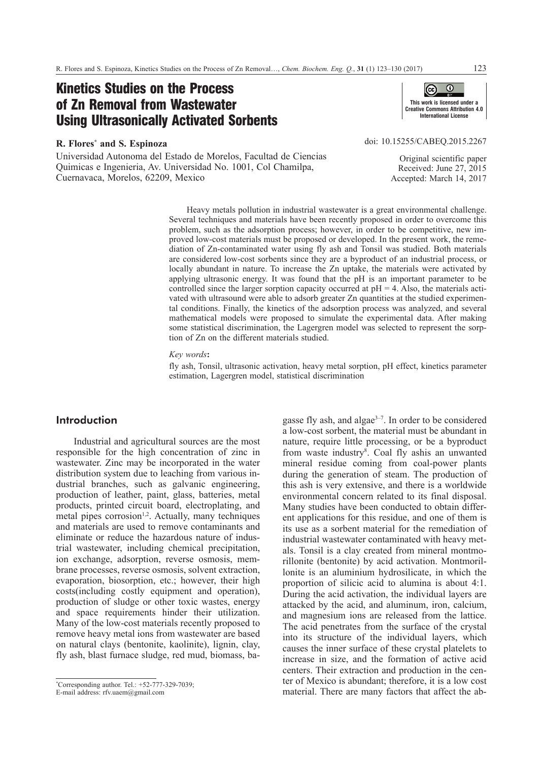# Kinetics Studies on the Process of Zn Removal from Wastewater Using Ultrasonically Activated Sorbents

## **R. Flores\* and S. Espinoza**

Universidad Autonoma del Estado de Morelos, Facultad de Ciencias Quimicas e Ingenieria, Av. Universidad No. 1001, Col Chamilpa, Cuernavaca, Morelos, 62209, Mexico



doi: [10.15255/CABEQ.2015.2267](https://doi.org/10.15255/CABEQ.2015.2267)

Original scientific paper Received: June 27, 2015 Accepted: March 14, 2017

Heavy metals pollution in industrial wastewater is a great environmental challenge. Several techniques and materials have been recently proposed in order to overcome this problem, such as the adsorption process; however, in order to be competitive, new improved low-cost materials must be proposed or developed. In the present work, the remediation of Zn-contaminated water using fly ash and Tonsil was studied. Both materials are considered low-cost sorbents since they are a byproduct of an industrial process, or locally abundant in nature. To increase the Zn uptake, the materials were activated by applying ultrasonic energy. It was found that the pH is an important parameter to be controlled since the larger sorption capacity occurred at  $pH = 4$ . Also, the materials activated with ultrasound were able to adsorb greater Zn quantities at the studied experimental conditions. Finally, the kinetics of the adsorption process was analyzed, and several mathematical models were proposed to simulate the experimental data. After making some statistical discrimination, the Lagergren model was selected to represent the sorption of Zn on the different materials studied.

*Key words***:**

fly ash, Tonsil, ultrasonic activation, heavy metal sorption, pH effect, kinetics parameter estimation, Lagergren model, statistical discrimination

# **Introduction**

Industrial and agricultural sources are the most responsible for the high concentration of zinc in wastewater. Zinc may be incorporated in the water distribution system due to leaching from various industrial branches, such as galvanic engineering, production of leather, paint, glass, batteries, metal products, printed circuit board, electroplating, and  $m$ etal pipes corrosion<sup>1,2</sup>. Actually, many techniques and materials are used to remove contaminants and eliminate or reduce the hazardous nature of industrial wastewater, including chemical precipitation, ion exchange, adsorption, reverse osmosis, membrane processes, reverse osmosis, solvent extraction, evaporation, biosorption, etc.; however, their high costs(including costly equipment and operation), production of sludge or other toxic wastes, energy and space requirements hinder their utilization. Many of the low-cost materials recently proposed to remove heavy metal ions from wastewater are based on natural clays (bentonite, kaolinite), lignin, clay, fly ash, blast furnace sludge, red mud, biomass, bagasse fly ash, and algae $3-7$ . In order to be considered a low-cost sorbent, the material must be abundant in nature, require little processing, or be a byproduct from waste industry<sup>8</sup>. Coal fly ashis an unwanted mineral residue coming from coal-power plants during the generation of steam. The production of this ash is very extensive, and there is a worldwide environmental concern related to its final disposal. Many studies have been conducted to obtain different applications for this residue, and one of them is its use as a sorbent material for the remediation of industrial wastewater contaminated with heavy metals. Tonsil is a clay created from mineral montmorillonite (bentonite) by acid activation. Montmorillonite is an aluminium hydrosilicate, in which the proportion of silicic acid to alumina is about 4:1. During the acid activation, the individual layers are attacked by the acid, and aluminum, iron, calcium, and magnesium ions are released from the lattice. The acid penetrates from the surface of the crystal into its structure of the individual layers, which causes the inner surface of these crystal platelets to increase in size, and the formation of active acid centers. Their extraction and production in the center of Mexico is abundant; therefore, it is a low cost material. There are many factors that affect the ab-

<sup>\*</sup> Corresponding author. Tel.: +52-777-329-7039;

E-mail address: rfv.uaem@gmail.com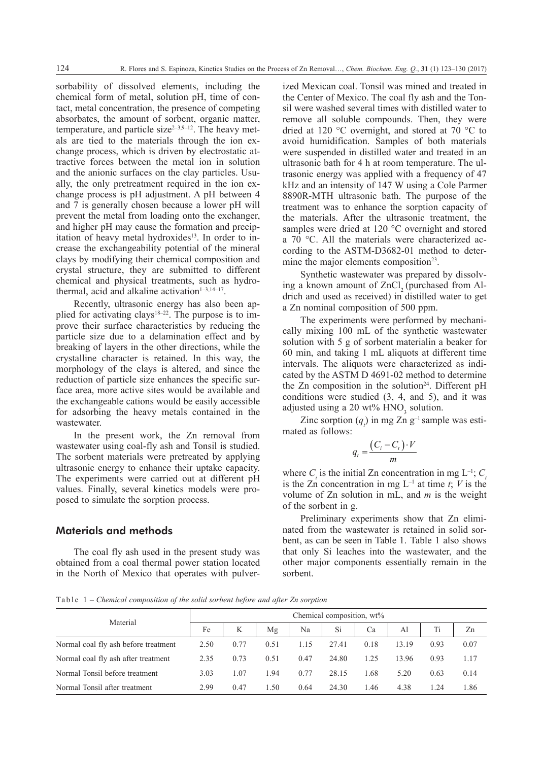sorbability of dissolved elements, including the chemical form of metal, solution pH, time of contact, metal concentration, the presence of competing absorbates, the amount of sorbent, organic matter, temperature, and particle size $2-3,9-12$ . The heavy metals are tied to the materials through the ion exchange process, which is driven by electrostatic attractive forces between the metal ion in solution and the anionic surfaces on the clay particles. Usually, the only pretreatment required in the ion exchange process is pH adjustment. A pH between 4 and 7 is generally chosen because a lower pH will prevent the metal from loading onto the exchanger, and higher pH may cause the formation and precipitation of heavy metal hydroxides $13$ . In order to increase the exchangeability potential of the mineral clays by modifying their chemical composition and crystal structure, they are submitted to different chemical and physical treatments, such as hydrothermal, acid and alkaline activation $1-3,14-17$ .

Recently, ultrasonic energy has also been applied for activating clays<sup>18–22</sup>. The purpose is to improve their surface characteristics by reducing the particle size due to a delamination effect and by breaking of layers in the other directions, while the crystalline character is retained. In this way, the morphology of the clays is altered, and since the reduction of particle size enhances the specific surface area, more active sites would be available and the exchangeable cations would be easily accessible for adsorbing the heavy metals contained in the wastewater.

In the present work, the Zn removal from wastewater using coal-fly ash and Tonsil is studied. The sorbent materials were pretreated by applying ultrasonic energy to enhance their uptake capacity. The experiments were carried out at different pH values. Finally, several kinetics models were proposed to simulate the sorption process.

# Materials and methods

The coal fly ash used in the present study was obtained from a coal thermal power station located in the North of Mexico that operates with pulverized Mexican coal. Tonsil was mined and treated in the Center of Mexico. The coal fly ash and the Tonsil were washed several times with distilled water to remove all soluble compounds. Then, they were dried at 120 °C overnight, and stored at 70 °C to avoid humidification. Samples of both materials were suspended in distilled water and treated in an ultrasonic bath for 4 h at room temperature. The ultrasonic energy was applied with a frequency of 47 kHz and an intensity of 147 W using a Cole Parmer 8890R-MTH ultrasonic bath. The purpose of the treatment was to enhance the sorption capacity of the materials. After the ultrasonic treatment, the samples were dried at 120 °C overnight and stored a 70 °C. All the materials were characterized according to the ASTM-D3682-01 method to determine the major elements composition<sup>23</sup>.

Synthetic wastewater was prepared by dissolving a known amount of  $ZnCl$ , (purchased from Aldrich and used as received) in distilled water to get a Zn nominal composition of 500 ppm.

The experiments were performed by mechanically mixing 100 mL of the synthetic wastewater solution with 5 g of sorbent materialin a beaker for 60 min, and taking 1 mL aliquots at different time intervals. The aliquots were characterized as indicated by the ASTM D 4691-02 method to determine the Zn composition in the solution<sup>24</sup>. Different pH conditions were studied (3, 4, and 5), and it was adjusted using a 20 wt%  $HNO<sub>3</sub>$  solution.

Zinc sorption  $(q_t)$  in mg Zn  $g^{-1}$  sample was estimated as follows:

$$
q_t = \frac{\left(C_i - C_t\right) \cdot V}{m}
$$

where  $C_i$  is the initial Zn concentration in mg L<sup>-1</sup>;  $C_i$ is the Zn concentration in mg  $L^{-1}$  at time *t*; *V* is the volume of Zn solution in mL, and *m* is the weight of the sorbent in g.

Preliminary experiments show that Zn eliminated from the wastewater is retained in solid sorbent, as can be seen in Table 1. Table 1 also shows that only Si leaches into the wastewater, and the other major components essentially remain in the sorbent.

Table 1 *– Chemical composition of the solid sorbent before and after Zn sorption*

| Material                             | Chemical composition, wt% |      |      |      |               |      |       |      |      |
|--------------------------------------|---------------------------|------|------|------|---------------|------|-------|------|------|
|                                      | Fe                        | K    | Mg   | Na   | <sup>Si</sup> | Ca   | Al    | Ti   | Zn   |
| Normal coal fly ash before treatment | 2.50                      | 0.77 | 0.51 | l.15 | 27.41         | 0.18 | 13.19 | 0.93 | 0.07 |
| Normal coal fly ash after treatment  | 2.35                      | 0.73 | 0.51 | 0.47 | 24.80         | 1.25 | 13.96 | 0.93 | 1.17 |
| Normal Tonsil before treatment       | 3.03                      | 1.07 | 1.94 | 0.77 | 28.15         | 1.68 | 5.20  | 0.63 | 0.14 |
| Normal Tonsil after treatment        | 2.99                      | 0.47 | .50  | 0.64 | 24.30         | 1.46 | 4.38  | 1 24 | 1.86 |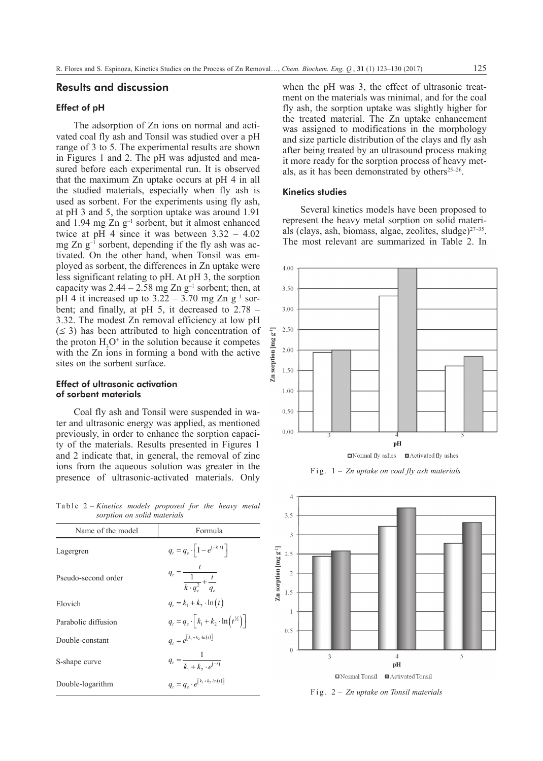## Results and discussion

## Effect of pH

The adsorption of Zn ions on normal and activated coal fly ash and Tonsil was studied over a pH range of 3 to 5. The experimental results are shown in Figures 1 and 2. The pH was adjusted and measured before each experimental run. It is observed that the maximum Zn uptake occurs at pH 4 in all the studied materials, especially when fly ash is used as sorbent. For the experiments using fly ash, at pH 3 and 5, the sorption uptake was around 1.91 and 1.94 mg Zn g–1 sorbent, but it almost enhanced twice at pH 4 since it was between  $3.32 - 4.02$ mg Zn  $g^{-1}$  sorbent, depending if the fly ash was activated. On the other hand, when Tonsil was employed as sorbent, the differences in Zn uptake were less significant relating to pH. At pH 3, the sorption capacity was  $2.44 - 2.58$  mg Zn  $g^{-1}$  sorbent; then, at pH 4 it increased up to  $3.22 - 3.70$  mg Zn g<sup>-1</sup> sorbent; and finally, at pH 5, it decreased to 2.78 – 3.32. The modest Zn removal efficiency at low pH  $(\leq 3)$  has been attributed to high concentration of the proton  $H_3O^+$  in the solution because it competes with the Zn ions in forming a bond with the active sites on the sorbent surface.

## Effect of ultrasonic activation of sorbent materials

Coal fly ash and Tonsil were suspended in water and ultrasonic energy was applied, as mentioned previously, in order to enhance the sorption capacity of the materials. Results presented in Figures 1 and 2 indicate that, in general, the removal of zinc ions from the aqueous solution was greater in the presence of ultrasonic-activated materials. Only

Table 2 *– Kinetics models proposed for the heavy metal sorption on solid materials*

| Name of the model   | Formula                                                               |
|---------------------|-----------------------------------------------------------------------|
| Lagergren           | $q_t = q_e \cdot   1 - e^{(-k \cdot t)}  $                            |
| Pseudo-second order | $q_t = \frac{t}{\frac{1}{k \cdot q_s^2} + \frac{t}{q_e}}$             |
| Elovich             | $q_{1} = k_{1} + k_{2} \cdot \ln(t)$                                  |
| Parabolic diffusion | $q_t = q_e \cdot \left[ k_1 + k_2 \cdot \ln(t^{\frac{1}{2}}) \right]$ |
| Double-constant     | $q_t = e^{[k_1 + k_2 \cdot \ln(t)]}$                                  |
| S-shape curve       | $q_t = \frac{1}{k_1 + k_2 \cdot e^{(-t)}}$                            |
| Double-logarithm    | $q_t = q_a \cdot e^{[k_1 + k_2 \cdot \ln(t)]}$                        |
|                     |                                                                       |

when the pH was 3, the effect of ultrasonic treatment on the materials was minimal, and for the coal fly ash, the sorption uptake was slightly higher for the treated material. The Zn uptake enhancement was assigned to modifications in the morphology and size particle distribution of the clays and fly ash after being treated by an ultrasound process making it more ready for the sorption process of heavy metals, as it has been demonstrated by others $25-26$ .

#### Kinetics studies

Several kinetics models have been proposed to represent the heavy metal sorption on solid materials (clays, ash, biomass, algae, zeolites, sludge) $27-35$ . The most relevant are summarized in Table 2. In







Fig. 2 *– Zn uptake on Tonsil materials*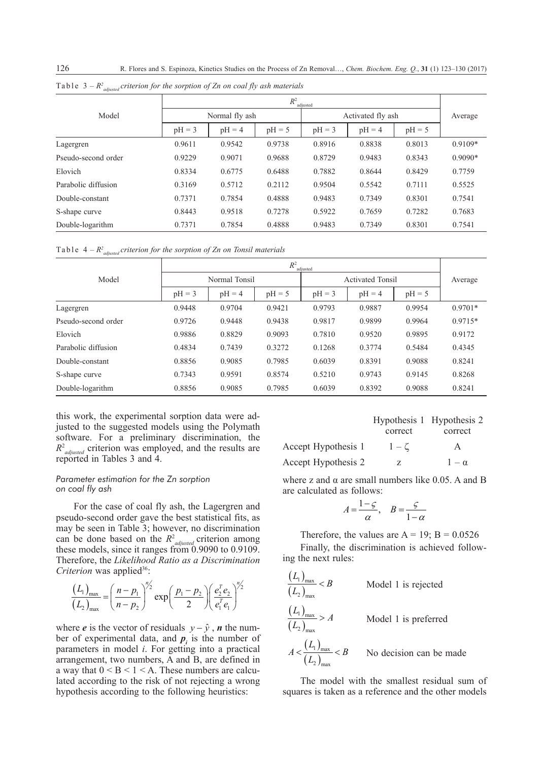126 R. Flores and S. Espinoza, Kinetics Studies on the Process of Zn Removal…, *Chem. Biochem. Eng. Q.*, **31** (1) 123–130 (2017)

|                     | $R^2$<br>adjusted |          |          |                   |          |          |           |
|---------------------|-------------------|----------|----------|-------------------|----------|----------|-----------|
| Model               | Normal fly ash    |          |          | Activated fly ash |          |          | Average   |
|                     | $pH = 3$          | $pH = 4$ | $pH = 5$ | $pH = 3$          | $pH = 4$ | $pH = 5$ |           |
| Lagergren           | 0.9611            | 0.9542   | 0.9738   | 0.8916            | 0.8838   | 0.8013   | $0.9109*$ |
| Pseudo-second order | 0.9229            | 0.9071   | 0.9688   | 0.8729            | 0.9483   | 0.8343   | $0.9090*$ |
| Elovich             | 0.8334            | 0.6775   | 0.6488   | 0.7882            | 0.8644   | 0.8429   | 0.7759    |
| Parabolic diffusion | 0.3169            | 0.5712   | 0.2112   | 0.9504            | 0.5542   | 0.7111   | 0.5525    |
| Double-constant     | 0.7371            | 0.7854   | 0.4888   | 0.9483            | 0.7349   | 0.8301   | 0.7541    |
| S-shape curve       | 0.8443            | 0.9518   | 0.7278   | 0.5922            | 0.7659   | 0.7282   | 0.7683    |
| Double-logarithm    | 0.7371            | 0.7854   | 0.4888   | 0.9483            | 0.7349   | 0.8301   | 0.7541    |

Table 3 *– R2 adjusted criterion for the sorption of Zn on coal fly ash materials*

Table 4 *– R2 adjusted criterion for the sorption of Zn on Tonsil materials*

|                     | $R^2$<br>adjusted |          |          |                         |          |          |           |
|---------------------|-------------------|----------|----------|-------------------------|----------|----------|-----------|
| Model               | Normal Tonsil     |          |          | <b>Activated Tonsil</b> |          |          | Average   |
|                     | $pH = 3$          | $pH = 4$ | $pH = 5$ | $pH = 3$                | $pH = 4$ | $pH = 5$ |           |
| Lagergren           | 0.9448            | 0.9704   | 0.9421   | 0.9793                  | 0.9887   | 0.9954   | $0.9701*$ |
| Pseudo-second order | 0.9726            | 0.9448   | 0.9438   | 0.9817                  | 0.9899   | 0.9964   | $0.9715*$ |
| Elovich             | 0.9886            | 0.8829   | 0.9093   | 0.7810                  | 0.9520   | 0.9895   | 0.9172    |
| Parabolic diffusion | 0.4834            | 0.7439   | 0.3272   | 0.1268                  | 0.3774   | 0.5484   | 0.4345    |
| Double-constant     | 0.8856            | 0.9085   | 0.7985   | 0.6039                  | 0.8391   | 0.9088   | 0.8241    |
| S-shape curve       | 0.7343            | 0.9591   | 0.8574   | 0.5210                  | 0.9743   | 0.9145   | 0.8268    |
| Double-logarithm    | 0.8856            | 0.9085   | 0.7985   | 0.6039                  | 0.8392   | 0.9088   | 0.8241    |

this work, the experimental sorption data were adjusted to the suggested models using the Polymath software. For a preliminary discrimination, the *R*<sup>2</sup><sub>*adjusted*</sup> criterion was employed, and the results are</sub> reported in Tables 3 and 4.

#### *Parameter estimation for the Zn sorption on coal fly ash*

For the case of coal fly ash, the Lagergren and pseudo-second order gave the best statistical fits, as may be seen in Table 3; however, no discrimination can be done based on the  $R^2$ <sub>*adjusted*</sub> criterion among these models, since it ranges from 0.9090 to 0.9109. Therefore, the *Likelihood Ratio as a Discrimination Criterion* was applied<sup>36</sup>:

$$
\frac{(L_1)_{\max}}{(L_2)_{\max}} = \left(\frac{n-p_1}{n-p_2}\right)^{n/2} \exp\left(\frac{p_1-p_2}{2}\right) \left(\frac{e_2^T e_2}{e_1^T e_1}\right)^{n/2}
$$

where *e* is the vector of residuals  $y - \hat{y}$ , *n* the number of experimental data, and  $p_i$  is the number of parameters in model *i*. For getting into a practical arrangement, two numbers, A and B, are defined in a way that  $0 < B < 1 < A$ . These numbers are calculated according to the risk of not rejecting a wrong hypothesis according to the following heuristics:

|                     |           | Hypothesis 1 Hypothesis 2 |
|---------------------|-----------|---------------------------|
|                     | correct   | correct                   |
| Accept Hypothesis 1 | $1-\zeta$ | A                         |
| Accept Hypothesis 2 | Z.        | $1 - \alpha$              |

where z and  $\alpha$  are small numbers like 0.05. A and B are calculated as follows:

$$
A = \frac{1 - \varsigma}{\alpha}, \quad B = \frac{\varsigma}{1 - \alpha}
$$

Therefore, the values are  $A = 19$ ;  $B = 0.0526$ 

Finally, the discrimination is achieved following the next rules:

$$
\frac{(L_1)_{\text{max}}}{(L_2)_{\text{max}}} < B
$$
 Model 1 is rejected  

$$
\frac{(L_1)_{\text{max}}}{(L_2)_{\text{max}}} > A
$$
 Model 1 is preferred  

$$
A < \frac{(L_1)_{\text{max}}}{(L_2)_{\text{max}}} < B
$$
 No decision can be made

The model with the smallest residual sum of squares is taken as a reference and the other models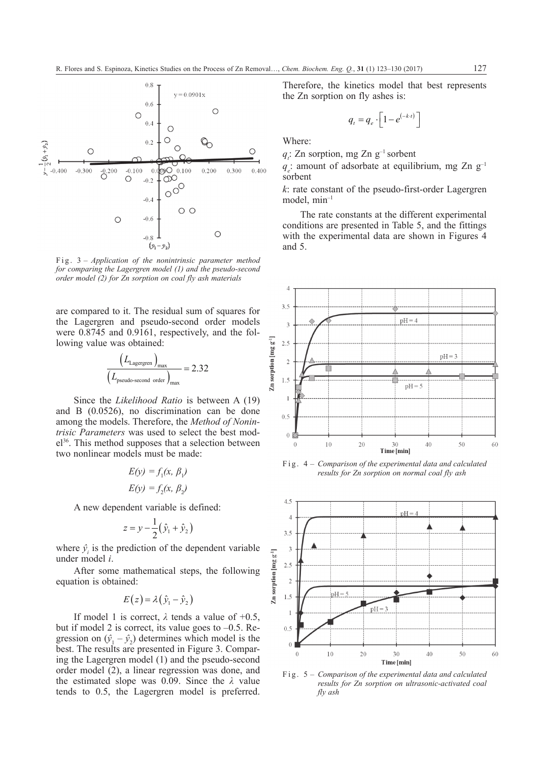

Fig. 3 *– Application of the nonintrinsic parameter method for comparing the Lagergren model (1) and the pseudo-second order model (2) for Zn sorption on coal fly ash materials*

are compared to it. The residual sum of squares for the Lagergren and pseudo-second order models were 0.8745 and 0.9161, respectively, and the following value was obtained:

$$
\frac{\left(L_{\text{Lagergren}}\right)_{\text{max}}}{\left(L_{\text{pseudo-second order}}\right)_{\text{max}}} = 2.32
$$

Since the *Likelihood Ratio* is between A (19) and B (0.0526), no discrimination can be done among the models. Therefore, the *Method of Nonintrisic Parameters* was used to select the best model<sup>36</sup>. This method supposes that a selection between two nonlinear models must be made:

$$
E(y) = f_1(x, \beta_1)
$$
  

$$
E(y) = f_2(x, \beta_2)
$$

A new dependent variable is defined:

$$
z = y - \frac{1}{2} (\hat{y}_1 + \hat{y}_2)
$$

where  $\hat{y}$  is the prediction of the dependent variable under model *i*.

After some mathematical steps, the following equation is obtained:

$$
E(z) = \lambda (\hat{y}_1 - \hat{y}_2)
$$

If model 1 is correct,  $\lambda$  tends a value of +0.5, but if model 2 is correct, its value goes to  $-0.5$ . Regression on  $(\hat{y}_1 - \hat{y}_2)$  determines which model is the best. The results are presented in Figure 3. Comparing the Lagergren model (1) and the pseudo-second order model (2), a linear regression was done, and the estimated slope was 0.09. Since the *λ* value tends to 0.5, the Lagergren model is preferred.

Therefore, the kinetics model that best represents the Zn sorption on fly ashes is:

$$
q_t = q_e \cdot \left[1 - e^{(-k \cdot t)}\right]
$$

Where:

 $q_i$ : Zn sorption, mg Zn  $g^{-1}$  sorbent

 $q_e$ : amount of adsorbate at equilibrium, mg Zn  $g^{-1}$ sorbent

*k*: rate constant of the pseudo-first-order Lagergren model, min–1

The rate constants at the different experimental conditions are presented in Table 5, and the fittings with the experimental data are shown in Figures 4 and 5.



Fig. 4 *– Comparison of the experimental data and calculated results for Zn sorption on normal coal fly ash*



Fig. 5 *– Comparison of the experimental data and calculated results for Zn sorption on ultrasonic-activated coal fly ash*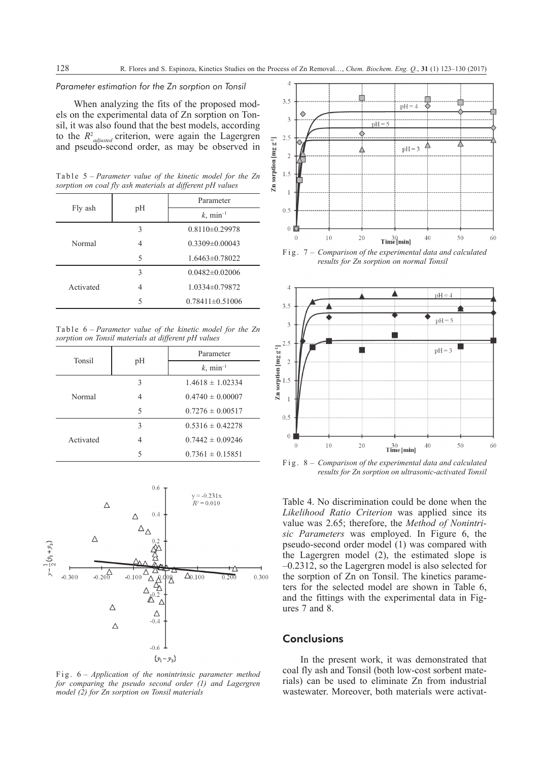#### *Parameter estimation for the Zn sorption on Tonsil*

When analyzing the fits of the proposed models on the experimental data of Zn sorption on Tonsil, it was also found that the best models, according to the  $R^2$ <sub>adjusted</sub> criterion, were again the Lagergren and pseudo-second order, as may be observed in

|  | Table $5$ – Parameter value of the kinetic model for the Zn |  |  |  |
|--|-------------------------------------------------------------|--|--|--|
|  | sorption on coal fly ash materials at different pH values   |  |  |  |

|           |    | Parameter               |  |  |
|-----------|----|-------------------------|--|--|
| Fly ash   | pH | $k$ , min <sup>-1</sup> |  |  |
|           | 3  | $0.8110 \pm 0.29978$    |  |  |
| Normal    | 4  | $0.3309 \pm 0.00043$    |  |  |
|           | 5  | $1.6463\pm0.78022$      |  |  |
|           | 3  | $0.0482\pm0.02006$      |  |  |
| Activated | 4  | 1.0334±0.79872          |  |  |
|           | 5  | $0.78411\pm0.51006$     |  |  |

Table 6 *– Parameter value of the kinetic model for the Zn sorption on Tonsil materials at different pH values*

| Tonsil    |    | Parameter               |  |  |
|-----------|----|-------------------------|--|--|
|           | pН | $k$ , min <sup>-1</sup> |  |  |
|           | 3  | $1.4618 \pm 1.02334$    |  |  |
| Normal    | 4  | $0.4740 \pm 0.00007$    |  |  |
|           | 5  | $0.7276 \pm 0.00517$    |  |  |
|           | 3  | $0.5316 \pm 0.42278$    |  |  |
| Activated | 4  | $0.7442 \pm 0.09246$    |  |  |
|           | 5  | $0.7361 \pm 0.15851$    |  |  |



Fig. 6 *– Application of the nonintrinsic parameter method for comparing the pseudo second order (1) and Lagergren model (2) for Zn sorption on Tonsil materials*



Fig. 7 *– Comparison of the experimental data and calculated results for Zn sorption on normal Tonsil*



Fig. 8 *– Comparison of the experimental data and calculated results for Zn sorption on ultrasonic-activated Tonsil*

Table 4. No discrimination could be done when the *Likelihood Ratio Criterion* was applied since its value was 2.65; therefore, the *Method of Nonintrisic Parameters* was employed. In Figure 6, the pseudo-second order model (1) was compared with the Lagergren model (2), the estimated slope is –0.2312, so the Lagergren model is also selected for the sorption of Zn on Tonsil. The kinetics parameters for the selected model are shown in Table 6, and the fittings with the experimental data in Figures 7 and 8.

# **Conclusions**

In the present work, it was demonstrated that coal fly ash and Tonsil (both low-cost sorbent materials) can be used to eliminate Zn from industrial wastewater. Moreover, both materials were activat-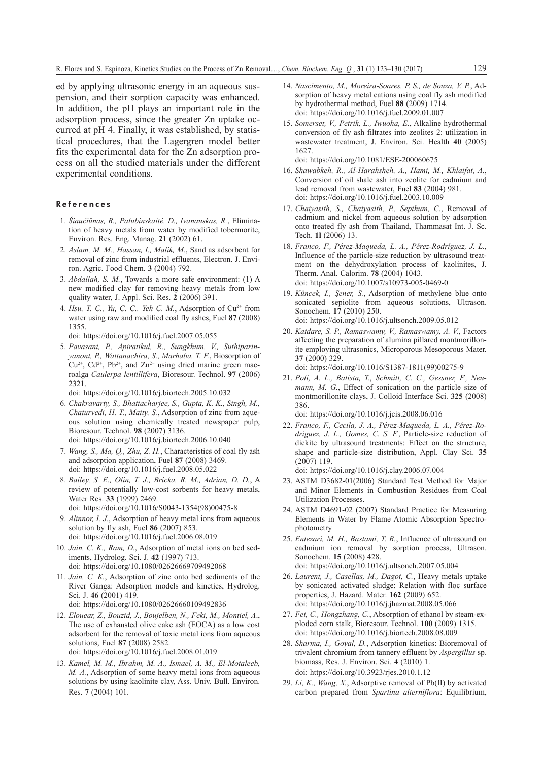ed by applying ultrasonic energy in an aqueous suspension, and their sorption capacity was enhanced. In addition, the pH plays an important role in the adsorption process, since the greater Zn uptake occurred at pH 4. Finally, it was established, by statistical procedures, that the Lagergren model better fits the experimental data for the Zn adsorption process on all the studied materials under the different experimental conditions.

### References

- 1. *Šiaučiūnas, R., Palubinskaitė, D., Ivanauskas, R.*, Elimination of heavy metals from water by modified tobermorite, Environ. Res. Eng. Manag. **21** (2002) 61.
- 2. *Aslam, M. M., Hassan, I., Malik, M.*, Sand as adsorbent for removal of zinc from industrial effluents, Electron. J. Environ. Agric. Food Chem. **3** (2004) 792.
- 3. *Abdallah, S. M.*, Towards a more safe environment: (1) A new modified clay for removing heavy metals from low quality water, J. Appl. Sci. Res. **2** (2006) 391.
- 4. *Hsu, T. C., Yu, C. C., Yeh C. M.*, Adsorption of  $Cu^{2+}$  from water using raw and modified coal fly ashes, Fuel **87** (2008) 1355.

[doi: https://doi.org/10.1016/j.fuel.2007.05.055](https://doi.org/10.1016/j.fuel.2007.05.055)

5. *Pavasant, P., Apiratikul, R., Sungkhum, V., Suthiparinyanont, P., Wattanachira, S., Marhaba, T. F.*, Biosorption of  $Cu^{2+}$ ,  $Cd^{2+}$ ,  $Pb^{2+}$ , and  $Zn^{2+}$  using dried marine green macroalga *Caulerpa lentillifera*, Bioresour. Technol. **97** (2006) 2321.

[doi: https://doi.org/10.1016/j.biortech.2005.10.032](https://doi.org/10.1016/j.biortech.2005.10.032)

- 6. *Chakravarty, S., Bhattacharjee, S., Gupta, K. K., Singh, M., Chaturvedi, H. T., Maity, S.*, Adsorption of zinc from aqueous solution using chemically treated newspaper pulp, Bioresour. Technol. **98** (2007) 3136. [doi: https://doi.org/10.1016/j.biortech.2006.10.040](https://doi.org/10.1016/j.biortech.2006.10.040)
- 7. *Wang, S., Ma, Q., Zhu, Z. H.*, Characteristics of coal fly ash and adsorption application, Fuel **87** (2008) 3469. [doi: https://doi.org/10.1016/j.fuel.2008.05.022](https://doi.org/10.1016/j.fuel.2008.05.022)
- 8. *Bailey, S. E., Olin, T. J., Bricka, R. M., Adrian, D. D.*, A review of potentially low-cost sorbents for heavy metals, Water Res. **33** (1999) 2469. [doi: https://doi.org/10.1016/S0043-1354\(98\)00475-8](https://doi.org/10.1016/S0043-1354(98)00475-8)
- 9. *Alinnor, I. J.*, Adsorption of heavy metal ions from aqueous solution by fly ash, Fuel **86** (2007) 853. [doi: https://doi.org/10.1016/j.fuel.2006.08.019](https://doi.org/10.1016/j.fuel.2006.08.019)
- 10. *Jain, C. K., Ram, D.*, Adsorption of metal ions on bed sediments, Hydrolog. Sci. J. **42** (1997) 713. [doi: https://doi.org/10.1080/02626669709492068](https://doi.org/10.1080/02626669709492068)
- 11. *Jain, C. K.*, Adsorption of zinc onto bed sediments of the River Ganga: Adsorption models and kinetics, Hydrolog. Sci. J. **46** (2001) 419.
	- [doi: https://doi.org/10.1080/02626660109492836](https://doi.org/10.1080/02626660109492836)
- 12. *Elouear, Z., Bouzid, J., Boujelben, N., Feki, M., Montiel, A*., The use of exhausted olive cake ash (EOCA) as a low cost adsorbent for the removal of toxic metal ions from aqueous solutions, Fuel **87** (2008) 2582.

[doi: https://doi.org/10.1016/j.fuel.2008.01.019](https://doi.org/10.1016/j.fuel.2008.01.019)

13. *Kamel, M. M., Ibrahm, M. A., Ismael, A. M., El-Motaleeb, M. A.*, Adsorption of some heavy metal ions from aqueous solutions by using kaolinite clay, Ass. Univ. Bull. Environ. Res. **7** (2004) 101.

- 14. *Nascimento, M., Moreira-Soares, P. S., de Souza, V. P.*, Adsorption of heavy metal cations using coal fly ash modified by hydrothermal method, Fuel **88** (2009) 1714. [doi: https://doi.org/10.1016/j.fuel.2009.01.007](https://doi.org/10.1016/j.fuel.2009.01.007)
- 15. *Somerset, V., Petrik, L., Iwuoha, E.*, Alkaline hydrothermal conversion of fly ash filtrates into zeolites 2: utilization in wastewater treatment, J. Environ. Sci. Health **40** (2005) 1627.

[doi: https://doi.org/10.1081/ESE-200060675](https://doi.org/10.1081/ESE-200060675)

- 16. *Shawabkeh, R., Al-Harahsheh, A., Hami, M., Khlaifat, A.*, Conversion of oil shale ash into zeolite for cadmium and lead removal from wastewater, Fuel **83** (2004) 981. [doi: https://doi.org/10.1016/j.fuel.2003.10.009](https://doi.org/10.1016/j.fuel.2003.10.009)
- 17. *Chaiyasith, S., Chaiyasith, P., Septhum, C.*, Removal of cadmium and nickel from aqueous solution by adsorption onto treated fly ash from Thailand, Thammasat Int. J. Sc. Tech. **1l** (2006) 13.
- 18. *Franco, F., Pérez-Maqueda, L. A., Pérez-Rodríguez, J. L.*, Influence of the particle-size reduction by ultrasound treatment on the dehydroxylation process of kaolinites, J. Therm. Anal. Calorim. **78** (2004) 1043. [doi: https://doi.org/10.1007/s10973-005-0469-0](https://doi.org/10.1007/s10973-005-0469-0)
- 19. *Küncek, I., Şener, S.*, Adsorption of methylene blue onto sonicated sepiolite from aqueous solutions, Ultrason. Sonochem. **17** (2010) 250. [doi: https://doi.org/10.1016/j.ultsonch.2009.05.012](https://doi.org/10.1016/j.ultsonch.2009.05.012)
- 20. *Katdare, S. P., Ramaswamy, V., Ramaswamy, A. V.*, Factors affecting the preparation of alumina pillared montmorillonite employing ultrasonics, Microporous Mesoporous Mater. **37** (2000) 329.

[doi: https://doi.org/10.1016/S1387-1811\(99\)00275-9](https://doi.org/10.1016/S1387-1811(99)00275-9)

21. *Poli, A. L., Batista, T., Schmitt, C. C., Gessner, F., Neumann, M. G.*, Effect of sonication on the particle size of montmorillonite clays, J. Colloid Interface Sci. **325** (2008) 386.

[doi: https://doi.org/10.1016/j.jcis.2008.06.016](https://doi.org/10.1016/j.jcis.2008.06.016)

22. *Franco, F., Cecila, J. A., Pérez-Maqueda, L. A., Pérez-Rodríguez, J. L., Gomes, C. S. F.*, Particle-size reduction of dickite by ultrasound treatments: Effect on the structure, shape and particle-size distribution, Appl. Clay Sci. **35** (2007) 119.

[doi: https://doi.org/10.1016/j.clay.2006.07.004](https://doi.org/10.1016/j.clay.2006.07.004)

- 23. ASTM D3682-01(2006) Standard Test Method for Major and Minor Elements in Combustion Residues from Coal Utilization Processes.
- 24. ASTM D4691-02 (2007) Standard Practice for Measuring Elements in Water by Flame Atomic Absorption Spectrophotometry
- 25. *Entezari, M. H., Bastami, T. R.*, Influence of ultrasound on cadmium ion removal by sorption process, Ultrason. Sonochem. **15** (2008) 428. [doi: https://doi.org/10.1016/j.ultsonch.2007.05.004](https://doi.org/10.1016/j.ultsonch.2007.05.004)
- 26. *Laurent, J., Casellas, M., Dagot, C.*, Heavy metals uptake by sonicated activated sludge: Relation with floc surface properties, J. Hazard. Mater. **162** (2009) 652. [doi: https://doi.org/10.1016/j.jhazmat.2008.05.066](https://doi.org/10.1016/j.jhazmat.2008.05.066)
- 27. *Fei, C., Hongzhang, C.*, Absorption of ethanol by steam-exploded corn stalk, Bioresour. Technol. **100** (2009) 1315. [doi: https://doi.org/10.1016/j.biortech.2008.08.009](https://doi.org/10.1016/j.biortech.2008.08.009)
- 28. *Sharma, I., Goyal, D.*, Adsorption kinetics: Bioremoval of trivalent chromium from tannery effluent by *Aspergillus* sp. biomass, Res. J. Environ. Sci. **4** (2010) 1. [doi: https://doi.org/10.3923/rjes.2010.1.12](https://doi.org/10.3923/rjes.2010.1.12)
- 29. *Li, K., Wang, X.*, Adsorptive removal of Pb(II) by activated carbon prepared from *Spartina alterniflora*: Equilibrium,